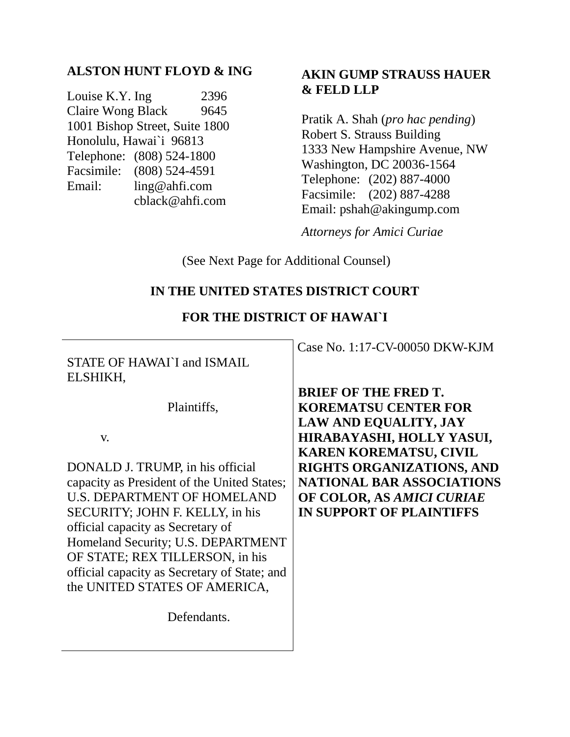# **ALSTON HUNT FLOYD & ING**

Louise K.Y. Ing 2396 Claire Wong Black 9645 1001 Bishop Street, Suite 1800 Honolulu, Hawai`i 96813 Telephone: (808) 524-1800 Facsimile: (808) 524-4591 Email: ling@ahfi.com cblack@ahfi.com

# **AKIN GUMP STRAUSS HAUER & FELD LLP**

Pratik A. Shah (*pro hac pending*) Robert S. Strauss Building 1333 New Hampshire Avenue, NW Washington, DC 20036-1564 Telephone: (202) 887-4000 Facsimile: (202) 887-4288 Email: pshah@akingump.com

*Attorneys for Amici Curiae*

(See Next Page for Additional Counsel)

# **IN THE UNITED STATES DISTRICT COURT**

### **FOR THE DISTRICT OF HAWAI`I**

STATE OF HAWAI`I and ISMAIL ELSHIKH,

Plaintiffs,

v.

DONALD J. TRUMP, in his official capacity as President of the United States; U.S. DEPARTMENT OF HOMELAND SECURITY; JOHN F. KELLY, in his official capacity as Secretary of Homeland Security; U.S. DEPARTMENT OF STATE; REX TILLERSON, in his official capacity as Secretary of State; and the UNITED STATES OF AMERICA,

**Defendants** 

Case No. 1:17-CV-00050 DKW-KJM

**BRIEF OF THE FRED T. KOREMATSU CENTER FOR LAW AND EQUALITY, JAY HIRABAYASHI, HOLLY YASUI, KAREN KOREMATSU, CIVIL RIGHTS ORGANIZATIONS, AND NATIONAL BAR ASSOCIATIONS OF COLOR, AS** *AMICI CURIAE*  **IN SUPPORT OF PLAINTIFFS**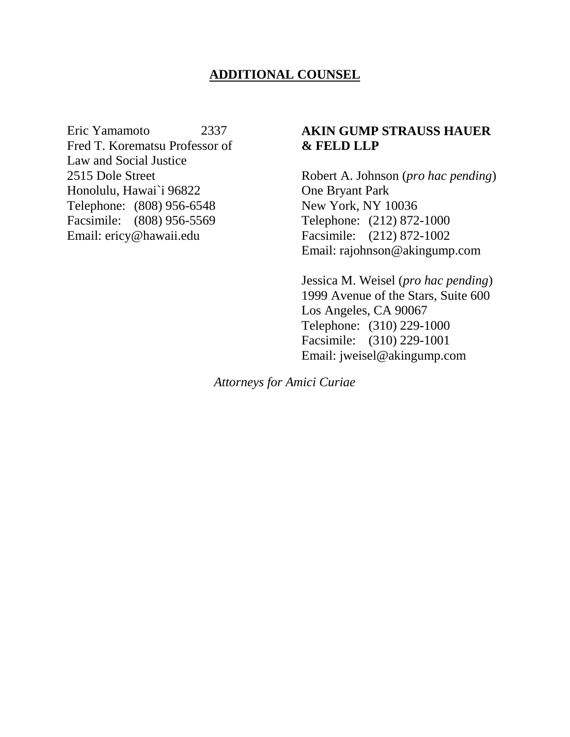# **ADDITIONAL COUNSEL**

Eric Yamamoto 2337 Fred T. Korematsu Professor of Law and Social Justice 2515 Dole Street Honolulu, Hawai`i 96822 Telephone: (808) 956-6548 Facsimile: (808) 956-5569 Email: ericy@hawaii.edu

### **AKIN GUMP STRAUSS HAUER & FELD LLP**

Robert A. Johnson (*pro hac pending*) One Bryant Park New York, NY 10036 Telephone: (212) 872-1000 Facsimile: (212) 872-1002 Email: rajohnson@akingump.com

Jessica M. Weisel (*pro hac pending*) 1999 Avenue of the Stars, Suite 600 Los Angeles, CA 90067 Telephone: (310) 229-1000 Facsimile: (310) 229-1001 Email: jweisel@akingump.com

*Attorneys for Amici Curiae*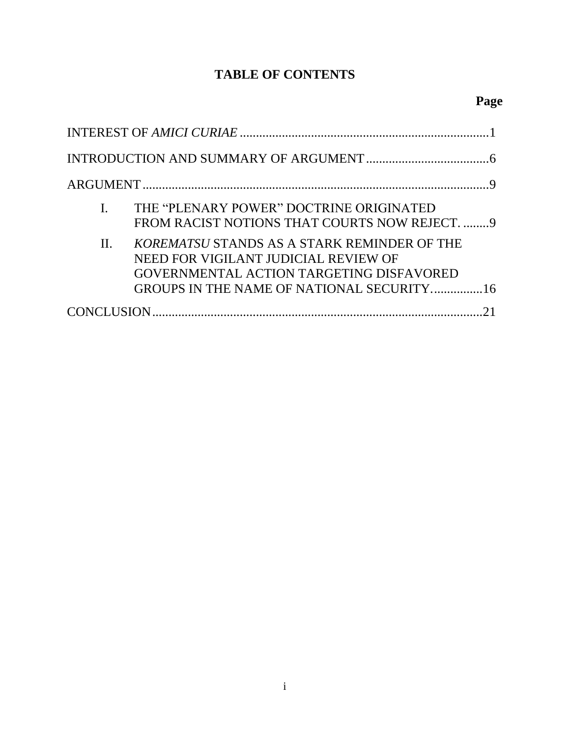# **TABLE OF CONTENTS**

| THE "PLENARY POWER" DOCTRINE ORIGINATED<br>FROM RACIST NOTIONS THAT COURTS NOW REJECT. 9                                                                                                |
|-----------------------------------------------------------------------------------------------------------------------------------------------------------------------------------------|
| KOREMATSU STANDS AS A STARK REMINDER OF THE<br>$\Pi$ .<br>NEED FOR VIGILANT JUDICIAL REVIEW OF<br>GOVERNMENTAL ACTION TARGETING DISFAVORED<br>GROUPS IN THE NAME OF NATIONAL SECURITY16 |
|                                                                                                                                                                                         |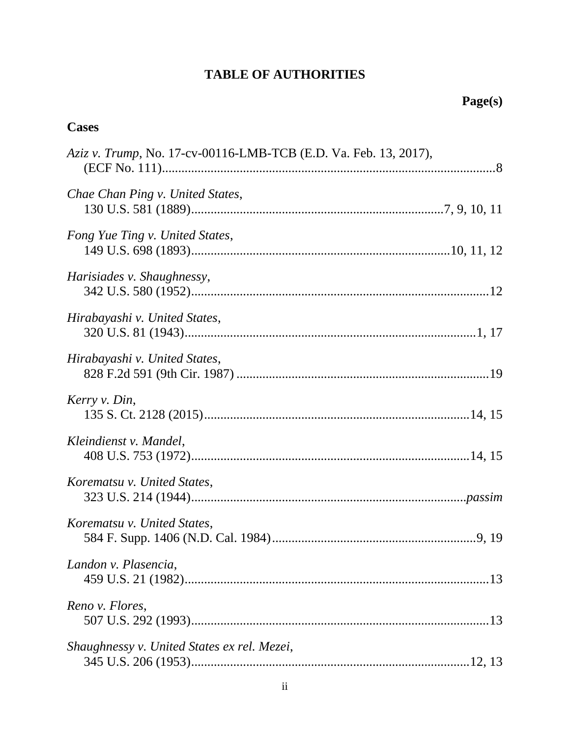### **TABLE OF AUTHORITIES**

# **Cases** *Aziz v. Trump*, No. 17-cv-00116-LMB-TCB (E.D. Va. Feb. 13, 2017), (ECF No. 111).......................................................................................................8 *Chae Chan Ping v. United States*, 130 U.S. 581 (1889).............................................................................[.7,](#page-11-0) [9,](#page-13-2) [10,](#page-14-0) [11](#page-15-0) *Fong Yue Ting v. United States*, 149 U.S. 698 (1893)...............................................................................[.10,](#page-14-1) [11,](#page-15-1) [12](#page-16-0) *Harisiades v. Shaughnessy*, 342 U.S. 580 (1952)...........................................................................................[.12](#page-16-1) *Hirabayashi v. United States*, 320 U.S. 81 (1943).........................................................................................[.1,](#page-5-1) [17](#page-21-0) *Hirabayashi v. United States*, 828 F.2d 591 (9th Cir. 1987) .............................................................................[.19](#page-23-0) *Kerry v. Din*, 135 S. Ct. 2128 (2015).................................................................................[.14,](#page-18-0) [15](#page-19-0) *Kleindienst v. Mandel*, 408 U.S. 753 (1972).....................................................................................[.14,](#page-18-1) [15](#page-19-1) *Korematsu v. United States*, 323 U.S. 214 (1944).....................................................................................*[passim](#page-5-2) Korematsu v. United States*, 584 F. Supp. 1406 (N.D. Cal. 1984)..............................................................[.9,](#page-13-3) [19](#page-23-1) *Landon v. Plasencia*, 459 U.S. 21 (1982).............................................................................................[.13](#page-17-0) *Reno v. Flores*, 507 U.S. 292 (1993)...........................................................................................[.13](#page-17-1) *Shaughnessy v. United States ex rel. Mezei*, 345 U.S. 206 (1953).....................................................................................[.12,](#page-16-2) [13](#page-17-2)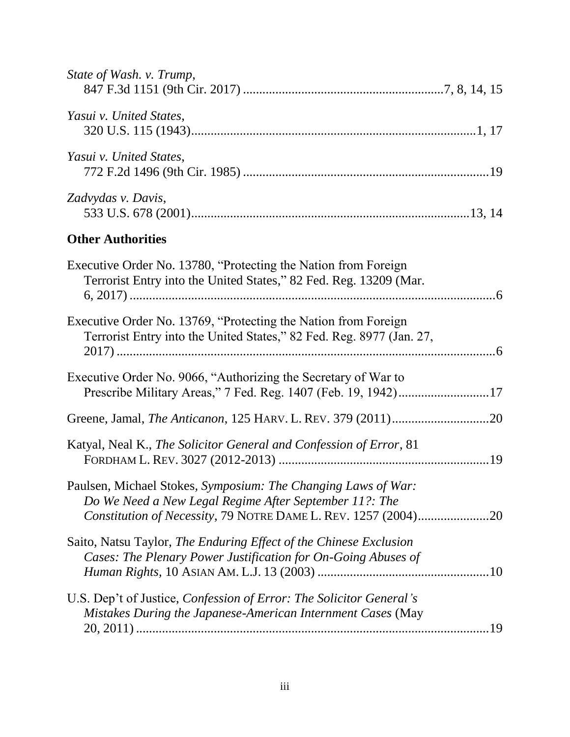| State of Wash. v. Trump,                                                                                                                                                                  |  |
|-------------------------------------------------------------------------------------------------------------------------------------------------------------------------------------------|--|
| Yasui v. United States,                                                                                                                                                                   |  |
| Yasui v. United States,                                                                                                                                                                   |  |
| Zadvydas v. Davis,                                                                                                                                                                        |  |
| <b>Other Authorities</b>                                                                                                                                                                  |  |
| Executive Order No. 13780, "Protecting the Nation from Foreign<br>Terrorist Entry into the United States," 82 Fed. Reg. 13209 (Mar.                                                       |  |
| Executive Order No. 13769, "Protecting the Nation from Foreign<br>Terrorist Entry into the United States," 82 Fed. Reg. 8977 (Jan. 27,                                                    |  |
| Executive Order No. 9066, "Authorizing the Secretary of War to<br>Prescribe Military Areas," 7 Fed. Reg. 1407 (Feb. 19, 1942)17                                                           |  |
|                                                                                                                                                                                           |  |
| Katyal, Neal K., The Solicitor General and Confession of Error, 81                                                                                                                        |  |
| Paulsen, Michael Stokes, Symposium: The Changing Laws of War:<br>Do We Need a New Legal Regime After September 11?: The<br>Constitution of Necessity, 79 NOTRE DAME L. REV. 1257 (2004)20 |  |
| Saito, Natsu Taylor, The Enduring Effect of the Chinese Exclusion<br>Cases: The Plenary Power Justification for On-Going Abuses of                                                        |  |
| U.S. Dep't of Justice, Confession of Error: The Solicitor General's<br>Mistakes During the Japanese-American Internment Cases (May                                                        |  |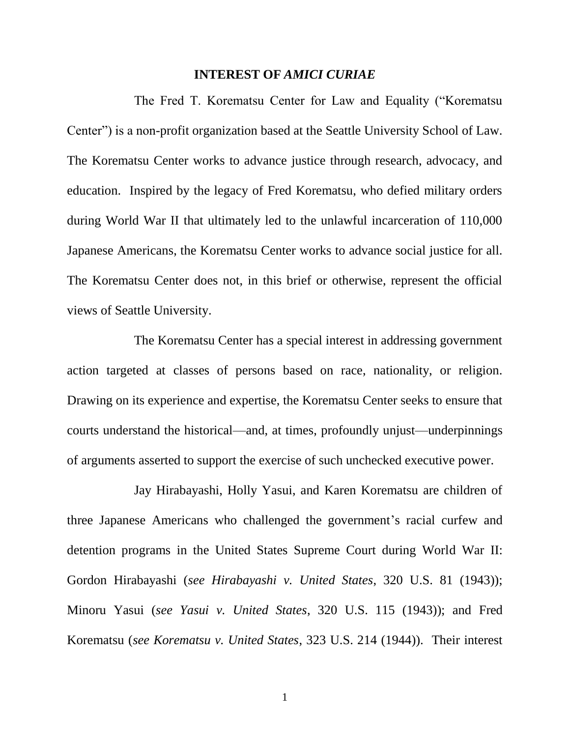### **INTEREST OF** *AMICI CURIAE*

<span id="page-5-0"></span>The Fred T. Korematsu Center for Law and Equality ("Korematsu Center") is a non-profit organization based at the Seattle University School of Law. The Korematsu Center works to advance justice through research, advocacy, and education. Inspired by the legacy of Fred Korematsu, who defied military orders during World War II that ultimately led to the unlawful incarceration of 110,000 Japanese Americans, the Korematsu Center works to advance social justice for all. The Korematsu Center does not, in this brief or otherwise, represent the official views of Seattle University.

The Korematsu Center has a special interest in addressing government action targeted at classes of persons based on race, nationality, or religion. Drawing on its experience and expertise, the Korematsu Center seeks to ensure that courts understand the historical—and, at times, profoundly unjust—underpinnings of arguments asserted to support the exercise of such unchecked executive power.

<span id="page-5-3"></span><span id="page-5-2"></span><span id="page-5-1"></span>Jay Hirabayashi, Holly Yasui, and Karen Korematsu are children of three Japanese Americans who challenged the government's racial curfew and detention programs in the United States Supreme Court during World War II: Gordon Hirabayashi (*see Hirabayashi v. United States*, 320 U.S. 81 (1943)); Minoru Yasui (*see Yasui v. United States*, 320 U.S. 115 (1943)); and Fred Korematsu (*see Korematsu v. United States*, 323 U.S. 214 (1944)). Their interest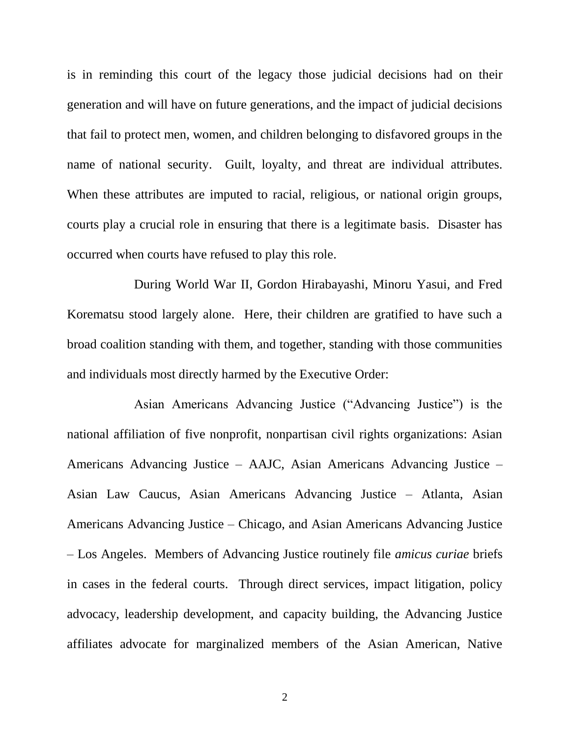is in reminding this court of the legacy those judicial decisions had on their generation and will have on future generations, and the impact of judicial decisions that fail to protect men, women, and children belonging to disfavored groups in the name of national security. Guilt, loyalty, and threat are individual attributes. When these attributes are imputed to racial, religious, or national origin groups, courts play a crucial role in ensuring that there is a legitimate basis. Disaster has occurred when courts have refused to play this role.

During World War II, Gordon Hirabayashi, Minoru Yasui, and Fred Korematsu stood largely alone. Here, their children are gratified to have such a broad coalition standing with them, and together, standing with those communities and individuals most directly harmed by the Executive Order:

Asian Americans Advancing Justice ("Advancing Justice") is the national affiliation of five nonprofit, nonpartisan civil rights organizations: Asian Americans Advancing Justice – AAJC, Asian Americans Advancing Justice – Asian Law Caucus, Asian Americans Advancing Justice – Atlanta, Asian Americans Advancing Justice – Chicago, and Asian Americans Advancing Justice – Los Angeles. Members of Advancing Justice routinely file *amicus curiae* briefs in cases in the federal courts. Through direct services, impact litigation, policy advocacy, leadership development, and capacity building, the Advancing Justice affiliates advocate for marginalized members of the Asian American, Native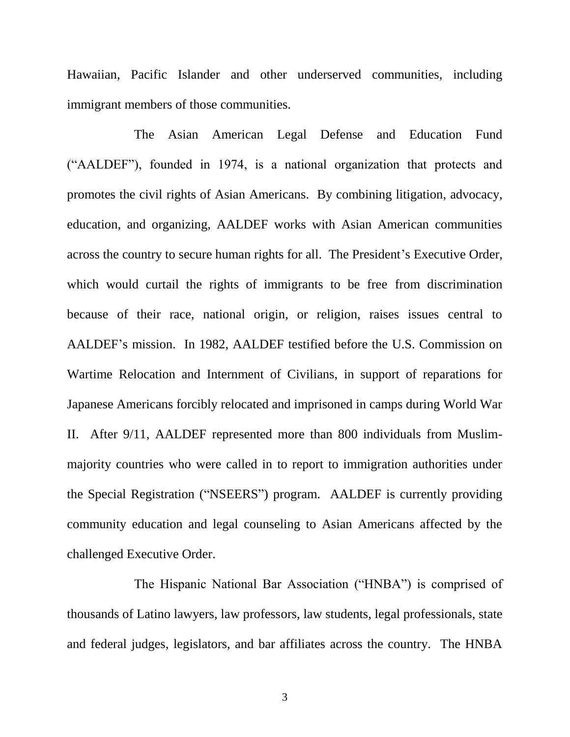Hawaiian, Pacific Islander and other underserved communities, including immigrant members of those communities.

The Asian American Legal Defense and Education Fund ("AALDEF"), founded in 1974, is a national organization that protects and promotes the civil rights of Asian Americans. By combining litigation, advocacy, education, and organizing, AALDEF works with Asian American communities across the country to secure human rights for all. The President's Executive Order, which would curtail the rights of immigrants to be free from discrimination because of their race, national origin, or religion, raises issues central to AALDEF's mission. In 1982, AALDEF testified before the U.S. Commission on Wartime Relocation and Internment of Civilians, in support of reparations for Japanese Americans forcibly relocated and imprisoned in camps during World War II. After 9/11, AALDEF represented more than 800 individuals from Muslimmajority countries who were called in to report to immigration authorities under the Special Registration ("NSEERS") program. AALDEF is currently providing community education and legal counseling to Asian Americans affected by the challenged Executive Order.

The Hispanic National Bar Association ("HNBA") is comprised of thousands of Latino lawyers, law professors, law students, legal professionals, state and federal judges, legislators, and bar affiliates across the country. The HNBA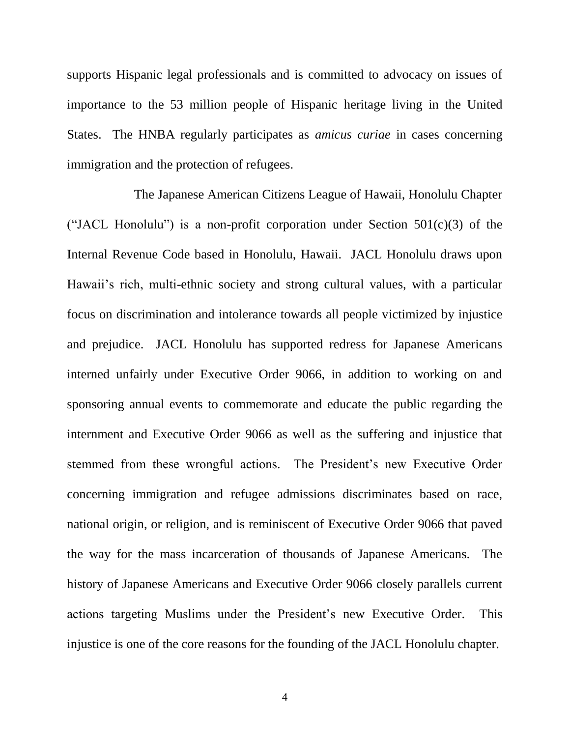supports Hispanic legal professionals and is committed to advocacy on issues of importance to the 53 million people of Hispanic heritage living in the United States. The HNBA regularly participates as *amicus curiae* in cases concerning immigration and the protection of refugees.

The Japanese American Citizens League of Hawaii, Honolulu Chapter ("JACL Honolulu") is a non-profit corporation under Section  $501(c)(3)$  of the Internal Revenue Code based in Honolulu, Hawaii. JACL Honolulu draws upon Hawaii's rich, multi-ethnic society and strong cultural values, with a particular focus on discrimination and intolerance towards all people victimized by injustice and prejudice. JACL Honolulu has supported redress for Japanese Americans interned unfairly under Executive Order 9066, in addition to working on and sponsoring annual events to commemorate and educate the public regarding the internment and Executive Order 9066 as well as the suffering and injustice that stemmed from these wrongful actions. The President's new Executive Order concerning immigration and refugee admissions discriminates based on race, national origin, or religion, and is reminiscent of Executive Order 9066 that paved the way for the mass incarceration of thousands of Japanese Americans. The history of Japanese Americans and Executive Order 9066 closely parallels current actions targeting Muslims under the President's new Executive Order. This injustice is one of the core reasons for the founding of the JACL Honolulu chapter.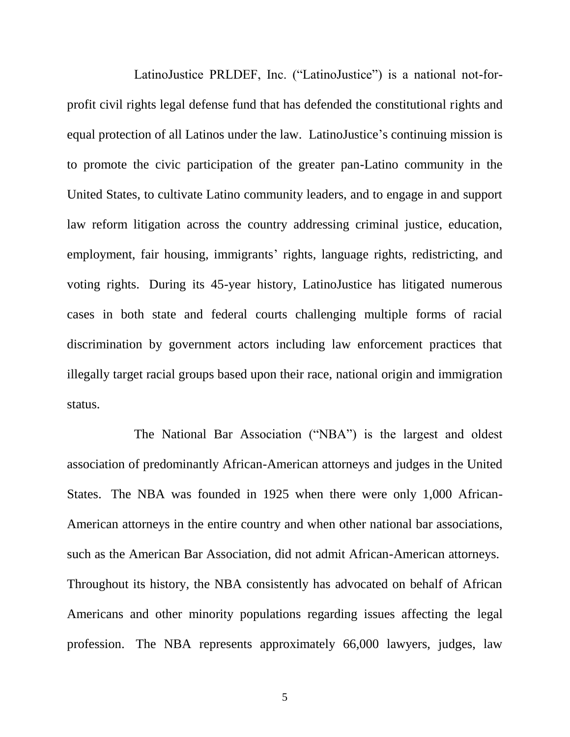LatinoJustice PRLDEF, Inc. ("LatinoJustice") is a national not-forprofit civil rights legal defense fund that has defended the constitutional rights and equal protection of all Latinos under the law. LatinoJustice's continuing mission is to promote the civic participation of the greater pan-Latino community in the United States, to cultivate Latino community leaders, and to engage in and support law reform litigation across the country addressing criminal justice, education, employment, fair housing, immigrants' rights, language rights, redistricting, and voting rights. During its 45-year history, LatinoJustice has litigated numerous cases in both state and federal courts challenging multiple forms of racial discrimination by government actors including law enforcement practices that illegally target racial groups based upon their race, national origin and immigration status.

The National Bar Association ("NBA") is the largest and oldest association of predominantly African-American attorneys and judges in the United States. The NBA was founded in 1925 when there were only 1,000 African-American attorneys in the entire country and when other national bar associations, such as the American Bar Association, did not admit African-American attorneys. Throughout its history, the NBA consistently has advocated on behalf of African Americans and other minority populations regarding issues affecting the legal profession. The NBA represents approximately 66,000 lawyers, judges, law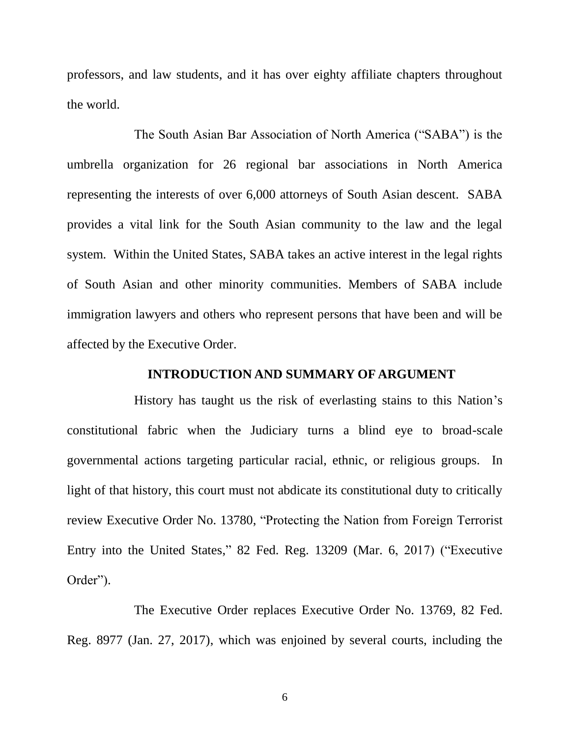professors, and law students, and it has over eighty affiliate chapters throughout the world.

The South Asian Bar Association of North America ("SABA") is the umbrella organization for 26 regional bar associations in North America representing the interests of over 6,000 attorneys of South Asian descent. SABA provides a vital link for the South Asian community to the law and the legal system. Within the United States, SABA takes an active interest in the legal rights of South Asian and other minority communities. Members of SABA include immigration lawyers and others who represent persons that have been and will be affected by the Executive Order.

### **INTRODUCTION AND SUMMARY OF ARGUMENT**

<span id="page-10-0"></span>History has taught us the risk of everlasting stains to this Nation's constitutional fabric when the Judiciary turns a blind eye to broad-scale governmental actions targeting particular racial, ethnic, or religious groups. In light of that history, this court must not abdicate its constitutional duty to critically review Executive Order No. 13780, "Protecting the Nation from Foreign Terrorist Entry into the United States," 82 Fed. Reg. 13209 (Mar. 6, 2017) ("Executive Order").

The Executive Order replaces Executive Order No. 13769, 82 Fed. Reg. 8977 (Jan. 27, 2017), which was enjoined by several courts, including the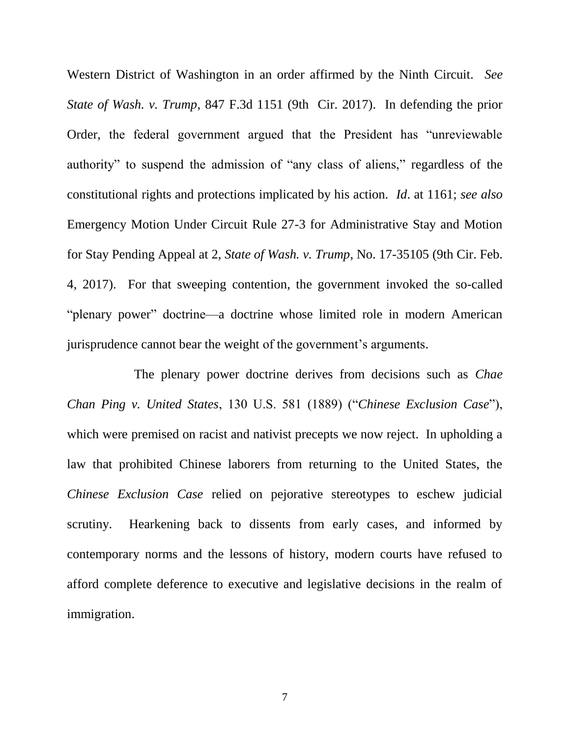<span id="page-11-1"></span>Western District of Washington in an order affirmed by the Ninth Circuit. *See State of Wash. v. Trump*, 847 F.3d 1151 (9th Cir. 2017). In defending the prior Order, the federal government argued that the President has "unreviewable authority" to suspend the admission of "any class of aliens," regardless of the constitutional rights and protections implicated by his action. *Id*. at 1161; *see also*  Emergency Motion Under Circuit Rule 27-3 for Administrative Stay and Motion for Stay Pending Appeal at 2, *State of Wash. v. Trump*, No. 17-35105 (9th Cir. Feb. 4, 2017). For that sweeping contention, the government invoked the so-called "plenary power" doctrine—a doctrine whose limited role in modern American jurisprudence cannot bear the weight of the government's arguments.

<span id="page-11-0"></span>The plenary power doctrine derives from decisions such as *Chae Chan Ping v. United States*, 130 U.S. 581 (1889) ("*Chinese Exclusion Case*"), which were premised on racist and nativist precepts we now reject. In upholding a law that prohibited Chinese laborers from returning to the United States, the *Chinese Exclusion Case* relied on pejorative stereotypes to eschew judicial scrutiny. Hearkening back to dissents from early cases, and informed by contemporary norms and the lessons of history, modern courts have refused to afford complete deference to executive and legislative decisions in the realm of immigration.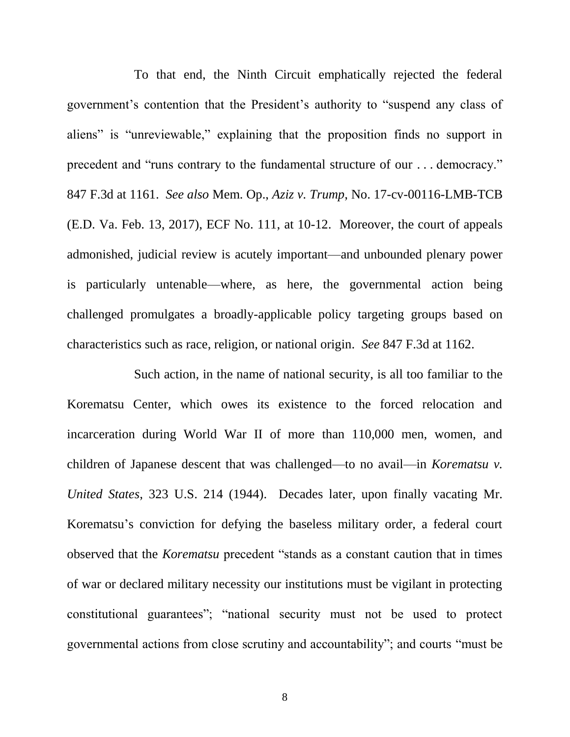<span id="page-12-0"></span>To that end, the Ninth Circuit emphatically rejected the federal government's contention that the President's authority to "suspend any class of aliens" is "unreviewable," explaining that the proposition finds no support in precedent and "runs contrary to the fundamental structure of our . . . democracy." 847 F.3d at 1161. *See also* Mem. Op., *Aziz v. Trump*, No. 17-cv-00116-LMB-TCB (E.D. Va. Feb. 13, 2017), ECF No. 111, at 10-12. Moreover, the court of appeals admonished, judicial review is acutely important—and unbounded plenary power is particularly untenable—where, as here, the governmental action being challenged promulgates a broadly-applicable policy targeting groups based on characteristics such as race, religion, or national origin. *See* 847 F.3d at 1162.

Such action, in the name of national security, is all too familiar to the Korematsu Center, which owes its existence to the forced relocation and incarceration during World War II of more than 110,000 men, women, and children of Japanese descent that was challenged—to no avail—in *Korematsu v. United States*, 323 U.S. 214 (1944). Decades later, upon finally vacating Mr. Korematsu's conviction for defying the baseless military order, a federal court observed that the *Korematsu* precedent "stands as a constant caution that in times of war or declared military necessity our institutions must be vigilant in protecting constitutional guarantees"; "national security must not be used to protect governmental actions from close scrutiny and accountability"; and courts "must be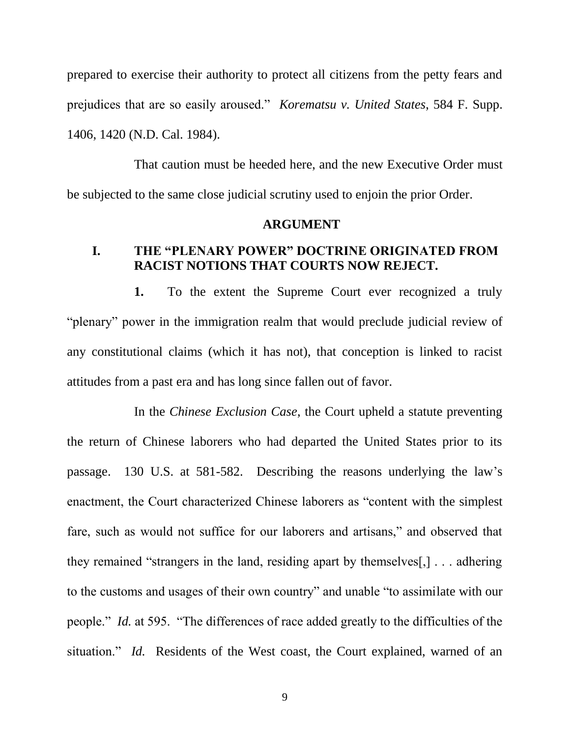prepared to exercise their authority to protect all citizens from the petty fears and prejudices that are so easily aroused." *Korematsu v. United States*, 584 F. Supp. 1406, 1420 (N.D. Cal. 1984).

That caution must be heeded here, and the new Executive Order must be subjected to the same close judicial scrutiny used to enjoin the prior Order.

#### <span id="page-13-3"></span>**ARGUMENT**

### <span id="page-13-1"></span><span id="page-13-0"></span>**I. THE "PLENARY POWER" DOCTRINE ORIGINATED FROM RACIST NOTIONS THAT COURTS NOW REJECT.**

**1.** To the extent the Supreme Court ever recognized a truly "plenary" power in the immigration realm that would preclude judicial review of any constitutional claims (which it has not), that conception is linked to racist attitudes from a past era and has long since fallen out of favor.

<span id="page-13-2"></span>In the *Chinese Exclusion Case*, the Court upheld a statute preventing the return of Chinese laborers who had departed the United States prior to its passage. 130 U.S. at 581-582. Describing the reasons underlying the law's enactment, the Court characterized Chinese laborers as "content with the simplest fare, such as would not suffice for our laborers and artisans," and observed that they remained "strangers in the land, residing apart by themselves[,] . . . adhering to the customs and usages of their own country" and unable "to assimilate with our people." *Id.* at 595. "The differences of race added greatly to the difficulties of the situation." *Id.* Residents of the West coast, the Court explained, warned of an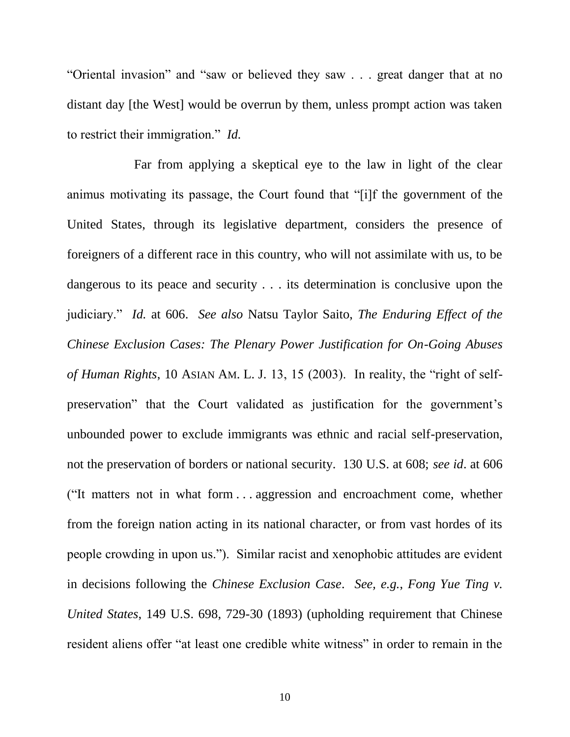"Oriental invasion" and "saw or believed they saw . . . great danger that at no distant day [the West] would be overrun by them, unless prompt action was taken to restrict their immigration." *Id.*

<span id="page-14-1"></span><span id="page-14-0"></span>Far from applying a skeptical eye to the law in light of the clear animus motivating its passage, the Court found that "[i]f the government of the United States, through its legislative department, considers the presence of foreigners of a different race in this country, who will not assimilate with us, to be dangerous to its peace and security . . . its determination is conclusive upon the judiciary." *Id.* at 606. *See also* Natsu Taylor Saito, *The Enduring Effect of the Chinese Exclusion Cases: The Plenary Power Justification for On-Going Abuses of Human Rights*, 10 ASIAN AM. L. J. 13, 15 (2003). In reality, the "right of selfpreservation" that the Court validated as justification for the government's unbounded power to exclude immigrants was ethnic and racial self-preservation, not the preservation of borders or national security. 130 U.S. at 608; *see id*. at 606 ("It matters not in what form . . . aggression and encroachment come, whether from the foreign nation acting in its national character, or from vast hordes of its people crowding in upon us."). Similar racist and xenophobic attitudes are evident in decisions following the *Chinese Exclusion Case*. *See, e.g.*, *Fong Yue Ting v. United States*, 149 U.S. 698, 729-30 (1893) (upholding requirement that Chinese resident aliens offer "at least one credible white witness" in order to remain in the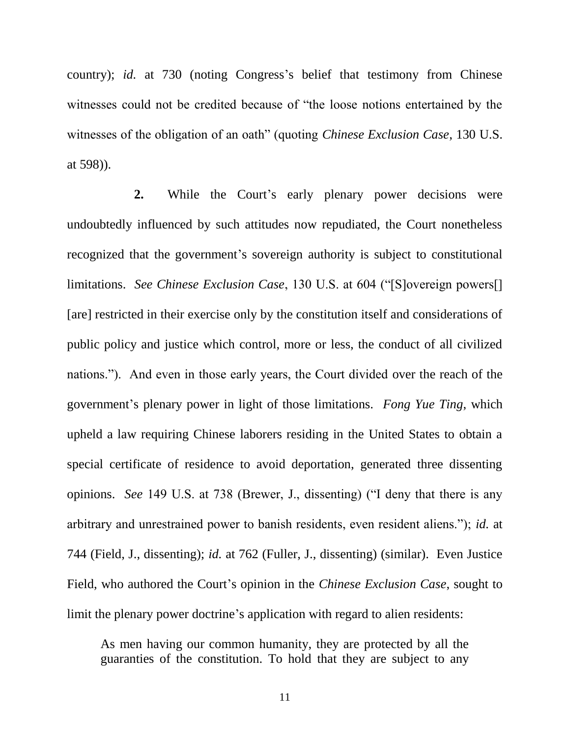<span id="page-15-0"></span>country); *id.* at 730 (noting Congress's belief that testimony from Chinese witnesses could not be credited because of "the loose notions entertained by the witnesses of the obligation of an oath" (quoting *Chinese Exclusion Case*, 130 U.S. at 598)).

**2.** While the Court's early plenary power decisions were undoubtedly influenced by such attitudes now repudiated, the Court nonetheless recognized that the government's sovereign authority is subject to constitutional limitations. *See Chinese Exclusion Case*, 130 U.S. at 604 ("[S]overeign powers[] [are] restricted in their exercise only by the constitution itself and considerations of public policy and justice which control, more or less, the conduct of all civilized nations."). And even in those early years, the Court divided over the reach of the government's plenary power in light of those limitations. *Fong Yue Ting*, which upheld a law requiring Chinese laborers residing in the United States to obtain a special certificate of residence to avoid deportation, generated three dissenting opinions. *See* 149 U.S. at 738 (Brewer, J., dissenting) ("I deny that there is any arbitrary and unrestrained power to banish residents, even resident aliens."); *id.* at 744 (Field, J., dissenting); *id.* at 762 (Fuller, J., dissenting) (similar). Even Justice Field, who authored the Court's opinion in the *Chinese Exclusion Case*, sought to limit the plenary power doctrine's application with regard to alien residents:

<span id="page-15-1"></span>As men having our common humanity, they are protected by all the guaranties of the constitution. To hold that they are subject to any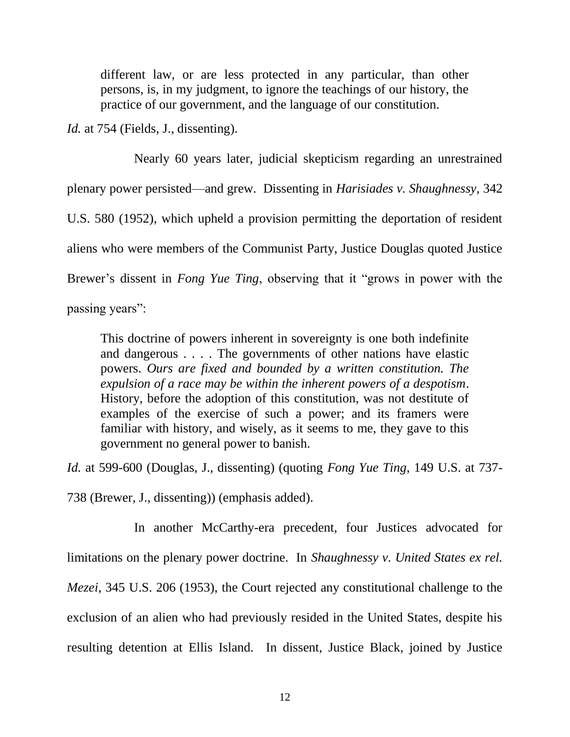<span id="page-16-1"></span>different law, or are less protected in any particular, than other persons, is, in my judgment, to ignore the teachings of our history, the practice of our government, and the language of our constitution.

<span id="page-16-0"></span>*Id.* at 754 (Fields, J., dissenting).

Nearly 60 years later, judicial skepticism regarding an unrestrained plenary power persisted—and grew. Dissenting in *Harisiades v. Shaughnessy*, 342 U.S. 580 (1952), which upheld a provision permitting the deportation of resident aliens who were members of the Communist Party, Justice Douglas quoted Justice Brewer's dissent in *Fong Yue Ting*, observing that it "grows in power with the passing years":

This doctrine of powers inherent in sovereignty is one both indefinite and dangerous . . . . The governments of other nations have elastic powers. *Ours are fixed and bounded by a written constitution. The expulsion of a race may be within the inherent powers of a despotism*. History, before the adoption of this constitution, was not destitute of examples of the exercise of such a power; and its framers were familiar with history, and wisely, as it seems to me, they gave to this government no general power to banish.

*Id.* at 599-600 (Douglas, J., dissenting) (quoting *Fong Yue Ting*, 149 U.S. at 737-

738 (Brewer, J., dissenting)) (emphasis added).

<span id="page-16-2"></span>In another McCarthy-era precedent, four Justices advocated for limitations on the plenary power doctrine. In *Shaughnessy v. United States ex rel. Mezei*, 345 U.S. 206 (1953), the Court rejected any constitutional challenge to the exclusion of an alien who had previously resided in the United States, despite his resulting detention at Ellis Island. In dissent, Justice Black, joined by Justice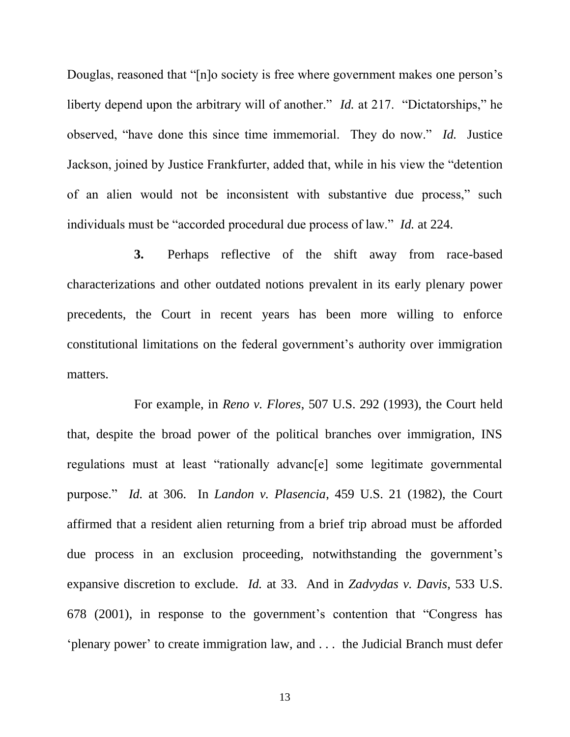<span id="page-17-2"></span>Douglas, reasoned that "[n]o society is free where government makes one person's liberty depend upon the arbitrary will of another." *Id.* at 217. "Dictatorships," he observed, "have done this since time immemorial. They do now." *Id.* Justice Jackson, joined by Justice Frankfurter, added that, while in his view the "detention of an alien would not be inconsistent with substantive due process," such individuals must be "accorded procedural due process of law." *Id.* at 224.

**3.** Perhaps reflective of the shift away from race-based characterizations and other outdated notions prevalent in its early plenary power precedents, the Court in recent years has been more willing to enforce constitutional limitations on the federal government's authority over immigration matters.

<span id="page-17-3"></span><span id="page-17-1"></span><span id="page-17-0"></span>For example, in *Reno v. Flores*, 507 U.S. 292 (1993), the Court held that, despite the broad power of the political branches over immigration, INS regulations must at least "rationally advanc[e] some legitimate governmental purpose." *Id.* at 306. In *Landon v. Plasencia*, 459 U.S. 21 (1982), the Court affirmed that a resident alien returning from a brief trip abroad must be afforded due process in an exclusion proceeding, notwithstanding the government's expansive discretion to exclude. *Id.* at 33. And in *Zadvydas v. Davis*, 533 U.S. 678 (2001), in response to the government's contention that "Congress has 'plenary power' to create immigration law, and . . . the Judicial Branch must defer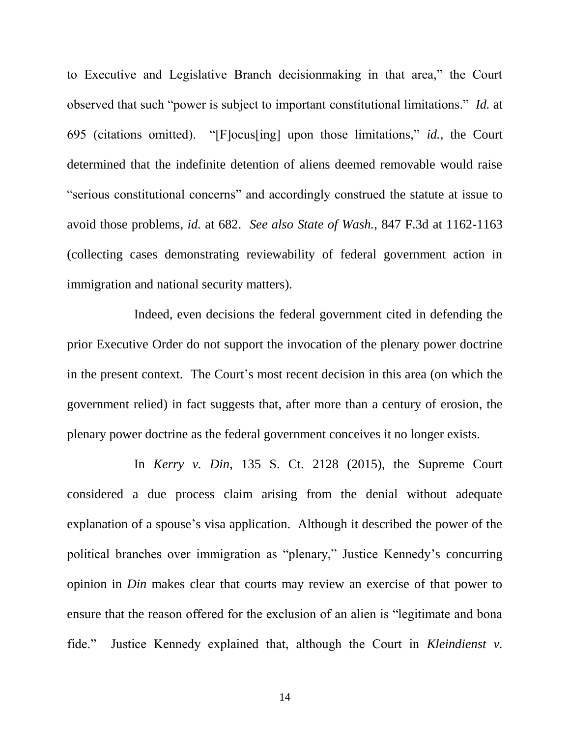to Executive and Legislative Branch decisionmaking in that area," the Court observed that such "power is subject to important constitutional limitations." *Id.* at 695 (citations omitted). "[F]ocus[ing] upon those limitations," *id.*, the Court determined that the indefinite detention of aliens deemed removable would raise "serious constitutional concerns" and accordingly construed the statute at issue to avoid those problems, *id.* at 682. *See also State of Wash.*, 847 F.3d at 1162-1163 (collecting cases demonstrating reviewability of federal government action in immigration and national security matters).

<span id="page-18-2"></span>Indeed, even decisions the federal government cited in defending the prior Executive Order do not support the invocation of the plenary power doctrine in the present context. The Court's most recent decision in this area (on which the government relied) in fact suggests that, after more than a century of erosion, the plenary power doctrine as the federal government conceives it no longer exists.

<span id="page-18-1"></span><span id="page-18-0"></span>In *Kerry v. Din*, 135 S. Ct. 2128 (2015), the Supreme Court considered a due process claim arising from the denial without adequate explanation of a spouse's visa application. Although it described the power of the political branches over immigration as "plenary," Justice Kennedy's concurring opinion in *Din* makes clear that courts may review an exercise of that power to ensure that the reason offered for the exclusion of an alien is "legitimate and bona fide." Justice Kennedy explained that, although the Court in *Kleindienst v.*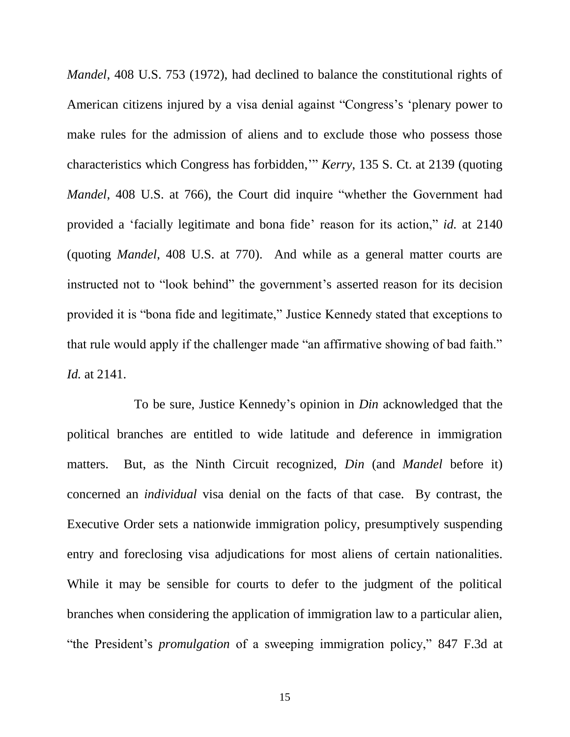<span id="page-19-1"></span><span id="page-19-0"></span>*Mandel*, 408 U.S. 753 (1972), had declined to balance the constitutional rights of American citizens injured by a visa denial against "Congress's 'plenary power to make rules for the admission of aliens and to exclude those who possess those characteristics which Congress has forbidden,'" *Kerry*, 135 S. Ct. at 2139 (quoting *Mandel*, 408 U.S. at 766), the Court did inquire "whether the Government had provided a 'facially legitimate and bona fide' reason for its action," *id.* at 2140 (quoting *Mandel*, 408 U.S. at 770). And while as a general matter courts are instructed not to "look behind" the government's asserted reason for its decision provided it is "bona fide and legitimate," Justice Kennedy stated that exceptions to that rule would apply if the challenger made "an affirmative showing of bad faith." *Id.* at 2141.

<span id="page-19-2"></span>To be sure, Justice Kennedy's opinion in *Din* acknowledged that the political branches are entitled to wide latitude and deference in immigration matters. But, as the Ninth Circuit recognized, *Din* (and *Mandel* before it) concerned an *individual* visa denial on the facts of that case. By contrast, the Executive Order sets a nationwide immigration policy, presumptively suspending entry and foreclosing visa adjudications for most aliens of certain nationalities. While it may be sensible for courts to defer to the judgment of the political branches when considering the application of immigration law to a particular alien, "the President's *promulgation* of a sweeping immigration policy," 847 F.3d at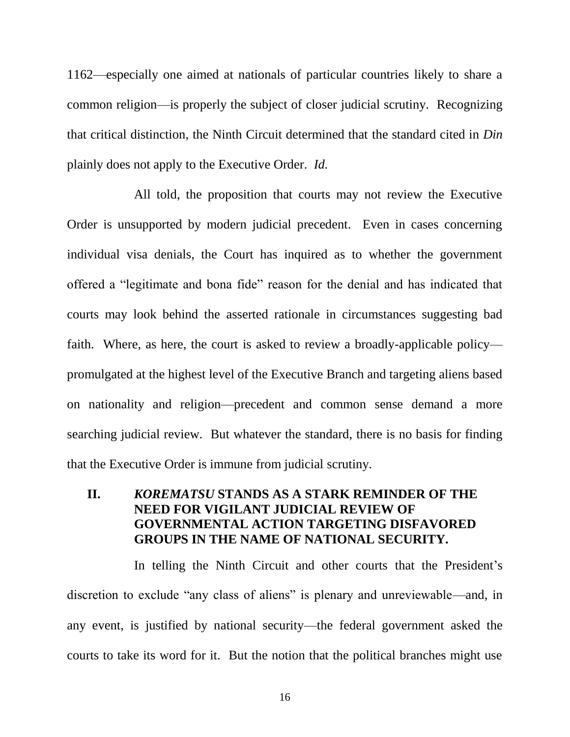1162—especially one aimed at nationals of particular countries likely to share a common religion—is properly the subject of closer judicial scrutiny. Recognizing that critical distinction, the Ninth Circuit determined that the standard cited in *Din* plainly does not apply to the Executive Order. *Id.*

All told, the proposition that courts may not review the Executive Order is unsupported by modern judicial precedent. Even in cases concerning individual visa denials, the Court has inquired as to whether the government offered a "legitimate and bona fide" reason for the denial and has indicated that courts may look behind the asserted rationale in circumstances suggesting bad faith. Where, as here, the court is asked to review a broadly-applicable policy promulgated at the highest level of the Executive Branch and targeting aliens based on nationality and religion—precedent and common sense demand a more searching judicial review. But whatever the standard, there is no basis for finding that the Executive Order is immune from judicial scrutiny.

# <span id="page-20-0"></span>**II.** *KOREMATSU* **STANDS AS A STARK REMINDER OF THE NEED FOR VIGILANT JUDICIAL REVIEW OF GOVERNMENTAL ACTION TARGETING DISFAVORED GROUPS IN THE NAME OF NATIONAL SECURITY.**

In telling the Ninth Circuit and other courts that the President's discretion to exclude "any class of aliens" is plenary and unreviewable—and, in any event, is justified by national security—the federal government asked the courts to take its word for it. But the notion that the political branches might use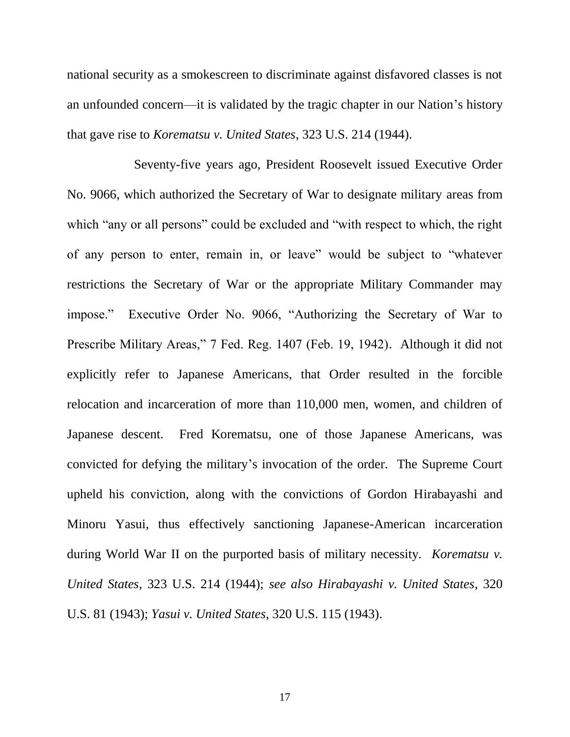national security as a smokescreen to discriminate against disfavored classes is not an unfounded concern—it is validated by the tragic chapter in our Nation's history that gave rise to *Korematsu v. United States*, 323 U.S. 214 (1944).

<span id="page-21-1"></span><span id="page-21-0"></span>Seventy-five years ago, President Roosevelt issued Executive Order No. 9066, which authorized the Secretary of War to designate military areas from which "any or all persons" could be excluded and "with respect to which, the right of any person to enter, remain in, or leave" would be subject to "whatever restrictions the Secretary of War or the appropriate Military Commander may impose." Executive Order No. 9066, "Authorizing the Secretary of War to Prescribe Military Areas," 7 Fed. Reg. 1407 (Feb. 19, 1942). Although it did not explicitly refer to Japanese Americans, that Order resulted in the forcible relocation and incarceration of more than 110,000 men, women, and children of Japanese descent. Fred Korematsu, one of those Japanese Americans, was convicted for defying the military's invocation of the order. The Supreme Court upheld his conviction, along with the convictions of Gordon Hirabayashi and Minoru Yasui, thus effectively sanctioning Japanese-American incarceration during World War II on the purported basis of military necessity. *Korematsu v. United States*, 323 U.S. 214 (1944); *see also Hirabayashi v. United States*, 320 U.S. 81 (1943); *Yasui v. United States*, 320 U.S. 115 (1943).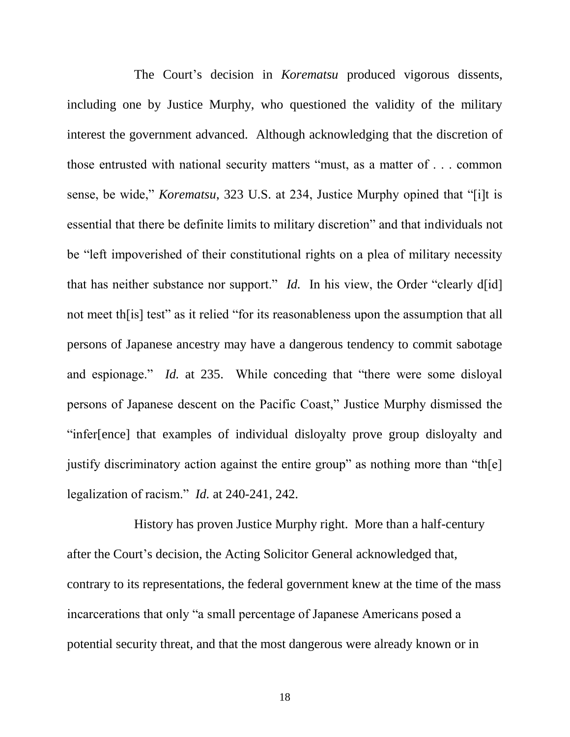The Court's decision in *Korematsu* produced vigorous dissents, including one by Justice Murphy, who questioned the validity of the military interest the government advanced. Although acknowledging that the discretion of those entrusted with national security matters "must, as a matter of . . . common sense, be wide," *Korematsu*, 323 U.S. at 234, Justice Murphy opined that "[i]t is essential that there be definite limits to military discretion" and that individuals not be "left impoverished of their constitutional rights on a plea of military necessity that has neither substance nor support." *Id.* In his view, the Order "clearly d[id] not meet th[is] test" as it relied "for its reasonableness upon the assumption that all persons of Japanese ancestry may have a dangerous tendency to commit sabotage and espionage." *Id.* at 235. While conceding that "there were some disloyal persons of Japanese descent on the Pacific Coast," Justice Murphy dismissed the "infer[ence] that examples of individual disloyalty prove group disloyalty and justify discriminatory action against the entire group" as nothing more than "the legalization of racism." *Id.* at 240-241, 242.

History has proven Justice Murphy right. More than a half-century after the Court's decision, the Acting Solicitor General acknowledged that, contrary to its representations, the federal government knew at the time of the mass incarcerations that only "a small percentage of Japanese Americans posed a potential security threat, and that the most dangerous were already known or in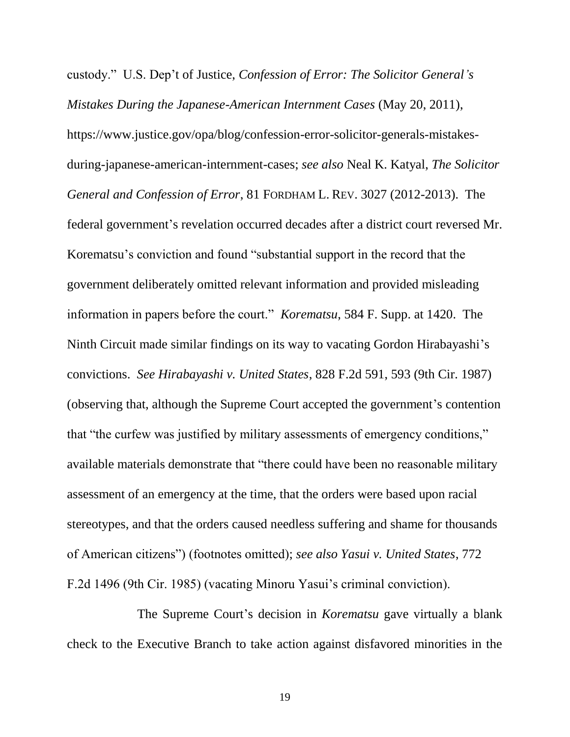<span id="page-23-1"></span>custody." U.S. Dep't of Justice, *Confession of Error: The Solicitor General's Mistakes During the Japanese-American Internment Cases* (May 20, 2011), https://www.justice.gov/opa/blog/confession-error-solicitor-generals-mistakesduring-japanese-american-internment-cases; *see also* Neal K. Katyal, *The Solicitor General and Confession of Error*, 81 FORDHAM L. REV. 3027 (2012-2013). The federal government's revelation occurred decades after a district court reversed Mr. Korematsu's conviction and found "substantial support in the record that the government deliberately omitted relevant information and provided misleading information in papers before the court." *Korematsu*, 584 F. Supp. at 1420. The Ninth Circuit made similar findings on its way to vacating Gordon Hirabayashi's convictions. *See Hirabayashi v. United States*, 828 F.2d 591, 593 (9th Cir. 1987) (observing that, although the Supreme Court accepted the government's contention that "the curfew was justified by military assessments of emergency conditions," available materials demonstrate that "there could have been no reasonable military assessment of an emergency at the time, that the orders were based upon racial stereotypes, and that the orders caused needless suffering and shame for thousands of American citizens") (footnotes omitted); *see also Yasui v. United States*, 772 F.2d 1496 (9th Cir. 1985) (vacating Minoru Yasui's criminal conviction).

<span id="page-23-2"></span><span id="page-23-0"></span>The Supreme Court's decision in *Korematsu* gave virtually a blank check to the Executive Branch to take action against disfavored minorities in the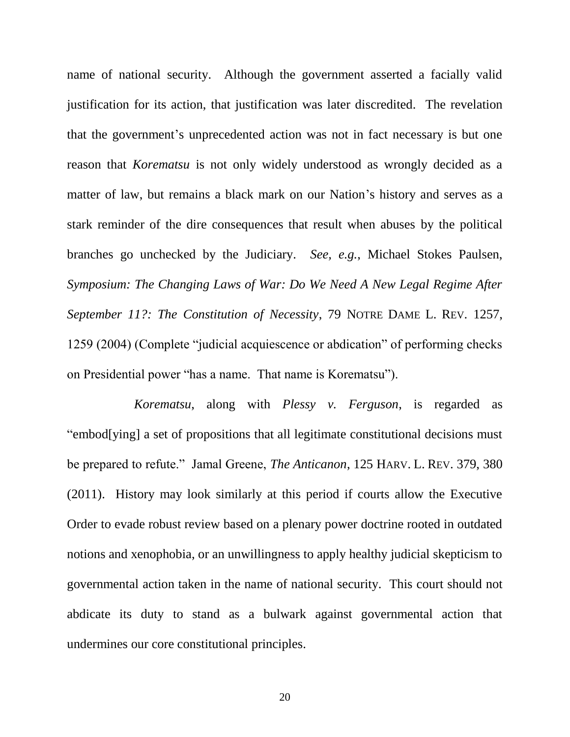name of national security. Although the government asserted a facially valid justification for its action, that justification was later discredited. The revelation that the government's unprecedented action was not in fact necessary is but one reason that *Korematsu* is not only widely understood as wrongly decided as a matter of law, but remains a black mark on our Nation's history and serves as a stark reminder of the dire consequences that result when abuses by the political branches go unchecked by the Judiciary. *See, e.g.*, Michael Stokes Paulsen, *Symposium: The Changing Laws of War: Do We Need A New Legal Regime After September 11?: The Constitution of Necessity*, 79 NOTRE DAME L. REV. 1257, 1259 (2004) (Complete "judicial acquiescence or abdication" of performing checks on Presidential power "has a name. That name is Korematsu").

*Korematsu*, along with *Plessy v. Ferguson*, is regarded as "embod[ying] a set of propositions that all legitimate constitutional decisions must be prepared to refute." Jamal Greene, *The Anticanon*, 125 HARV. L. REV. 379, 380 (2011). History may look similarly at this period if courts allow the Executive Order to evade robust review based on a plenary power doctrine rooted in outdated notions and xenophobia, or an unwillingness to apply healthy judicial skepticism to governmental action taken in the name of national security. This court should not abdicate its duty to stand as a bulwark against governmental action that undermines our core constitutional principles.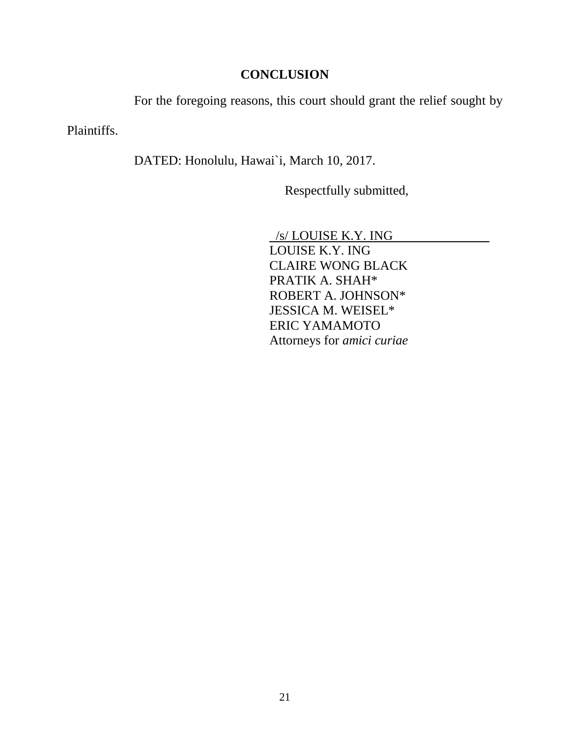# **CONCLUSION**

For the foregoing reasons, this court should grant the relief sought by

<span id="page-25-0"></span>Plaintiffs.

DATED: Honolulu, Hawai`i, March 10, 2017.

Respectfully submitted,

 /s/ LOUISE K.Y. ING LOUISE K.Y. ING CLAIRE WONG BLACK PRATIK A. SHAH\* ROBERT A. JOHNSON\* JESSICA M. WEISEL\* ERIC YAMAMOTO Attorneys for *amici curiae*